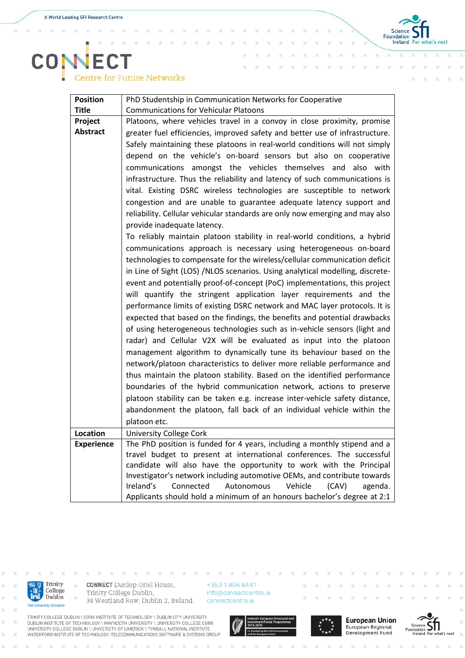$\alpha$ 'n x

x



## **CONECT**<br>Centre for Future Networks

| <b>Position</b>   | PhD Studentship in Communication Networks for Cooperative                     |
|-------------------|-------------------------------------------------------------------------------|
| <b>Title</b>      | <b>Communications for Vehicular Platoons</b>                                  |
| Project           | Platoons, where vehicles travel in a convoy in close proximity, promise       |
| <b>Abstract</b>   | greater fuel efficiencies, improved safety and better use of infrastructure.  |
|                   | Safely maintaining these platoons in real-world conditions will not simply    |
|                   | depend on the vehicle's on-board sensors but also on cooperative              |
|                   | communications amongst the vehicles themselves and also with                  |
|                   | infrastructure. Thus the reliability and latency of such communications is    |
|                   | vital. Existing DSRC wireless technologies are susceptible to network         |
|                   | congestion and are unable to guarantee adequate latency support and           |
|                   | reliability. Cellular vehicular standards are only now emerging and may also  |
|                   | provide inadequate latency.                                                   |
|                   | To reliably maintain platoon stability in real-world conditions, a hybrid     |
|                   | communications approach is necessary using heterogeneous on-board             |
|                   | technologies to compensate for the wireless/cellular communication deficit    |
|                   | in Line of Sight (LOS) /NLOS scenarios. Using analytical modelling, discrete- |
|                   | event and potentially proof-of-concept (PoC) implementations, this project    |
|                   | will quantify the stringent application layer requirements and the            |
|                   | performance limits of existing DSRC network and MAC layer protocols. It is    |
|                   | expected that based on the findings, the benefits and potential drawbacks     |
|                   | of using heterogeneous technologies such as in-vehicle sensors (light and     |
|                   | radar) and Cellular V2X will be evaluated as input into the platoon           |
|                   | management algorithm to dynamically tune its behaviour based on the           |
|                   | network/platoon characteristics to deliver more reliable performance and      |
|                   | thus maintain the platoon stability. Based on the identified performance      |
|                   | boundaries of the hybrid communication network, actions to preserve           |
|                   | platoon stability can be taken e.g. increase inter-vehicle safety distance,   |
|                   | abandonment the platoon, fall back of an individual vehicle within the        |
|                   | platoon etc.                                                                  |
| <b>Location</b>   | <b>University College Cork</b>                                                |
| <b>Experience</b> | The PhD position is funded for 4 years, including a monthly stipend and a     |
|                   | travel budget to present at international conferences. The successful         |
|                   | candidate will also have the opportunity to work with the Principal           |
|                   | Investigator's network including automotive OEMs, and contribute towards      |
|                   | Ireland's<br>Connected<br>Vehicle<br>Autonomous<br>(CAV)<br>agenda.           |
|                   | Applicants should hold a minimum of an honours bachelor's degree at 2:1       |



i.

 $\bar{a}$ 

**CONNECT** Dunlop Oriel House, Trinity College Dublin, 34 Westland Row, Dublin 2, Ireland.

+353 1 896 8441 info@connectcentre.ie connectcentre.ie

TRINITY COLLEGE DUBLIN \ CORK INSTITUTE OF TECHNOLOGY \ DUBLIN CITY UNIVERSITY<br>DUBLIN INSTITUTE OF TECHNOLOGY \ MAYNOOTH UNIVERSITY \ UNIVERSITY COLLEGE CORK<br>UNIVERSITY COLLEGE DUBLIN \ UNIVERSITY OF LIMERICK \ TYNDALL NAT